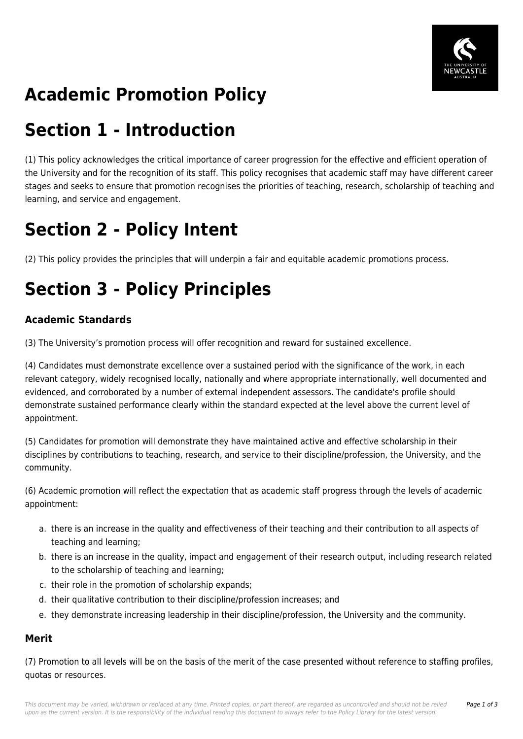

# **Academic Promotion Policy**

## **Section 1 - Introduction**

(1) This policy acknowledges the critical importance of career progression for the effective and efficient operation of the University and for the recognition of its staff. This policy recognises that academic staff may have different career stages and seeks to ensure that promotion recognises the priorities of teaching, research, scholarship of teaching and learning, and service and engagement.

# **Section 2 - Policy Intent**

(2) This policy provides the principles that will underpin a fair and equitable academic promotions process.

# **Section 3 - Policy Principles**

### **Academic Standards**

(3) The University's promotion process will offer recognition and reward for sustained excellence.

(4) Candidates must demonstrate excellence over a sustained period with the significance of the work, in each relevant category, widely recognised locally, nationally and where appropriate internationally, well documented and evidenced, and corroborated by a number of external independent assessors. The candidate's profile should demonstrate sustained performance clearly within the standard expected at the level above the current level of appointment.

(5) Candidates for promotion will demonstrate they have maintained active and effective scholarship in their disciplines by contributions to teaching, research, and service to their discipline/profession, the University, and the community.

(6) Academic promotion will reflect the expectation that as academic staff progress through the levels of academic appointment:

- a. there is an increase in the quality and effectiveness of their teaching and their contribution to all aspects of teaching and learning;
- b. there is an increase in the quality, impact and engagement of their research output, including research related to the scholarship of teaching and learning;
- c. their role in the promotion of scholarship expands;
- d. their qualitative contribution to their discipline/profession increases; and
- e. they demonstrate increasing leadership in their discipline/profession, the University and the community.

#### **Merit**

(7) Promotion to all levels will be on the basis of the merit of the case presented without reference to staffing profiles, quotas or resources.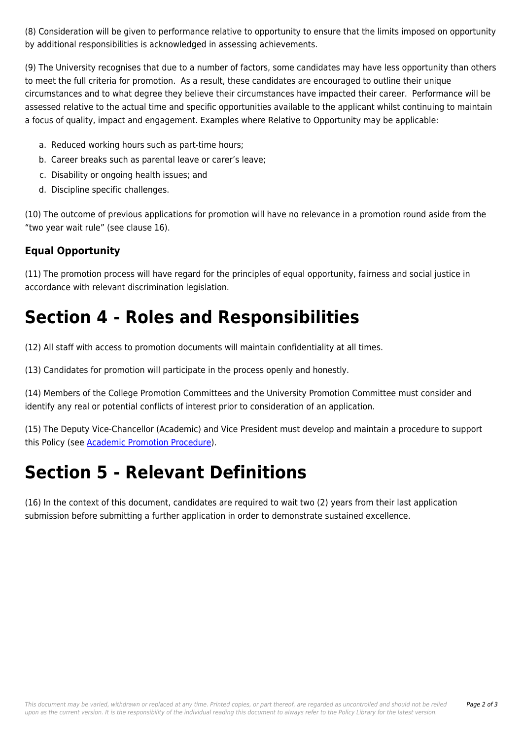(8) Consideration will be given to performance relative to opportunity to ensure that the limits imposed on opportunity by additional responsibilities is acknowledged in assessing achievements.

(9) The University recognises that due to a number of factors, some candidates may have less opportunity than others to meet the full criteria for promotion. As a result, these candidates are encouraged to outline their unique circumstances and to what degree they believe their circumstances have impacted their career. Performance will be assessed relative to the actual time and specific opportunities available to the applicant whilst continuing to maintain a focus of quality, impact and engagement. Examples where Relative to Opportunity may be applicable:

- a. Reduced working hours such as part-time hours;
- b. Career breaks such as parental leave or carer's leave;
- c. Disability or ongoing health issues; and
- d. Discipline specific challenges.

(10) The outcome of previous applications for promotion will have no relevance in a promotion round aside from the "two year wait rule" (see clause 16).

#### **Equal Opportunity**

(11) The promotion process will have regard for the principles of equal opportunity, fairness and social justice in accordance with relevant discrimination legislation.

### **Section 4 - Roles and Responsibilities**

(12) All staff with access to promotion documents will maintain confidentiality at all times.

(13) Candidates for promotion will participate in the process openly and honestly.

(14) Members of the College Promotion Committees and the University Promotion Committee must consider and identify any real or potential conflicts of interest prior to consideration of an application.

(15) The Deputy Vice-Chancellor (Academic) and Vice President must develop and maintain a procedure to support this Policy (see [Academic Promotion Procedure](https://policies.newcastle.edu.au/document/view-current.php?id=239)).

### **Section 5 - Relevant Definitions**

(16) In the context of this document, candidates are required to wait two (2) years from their last application submission before submitting a further application in order to demonstrate sustained excellence.